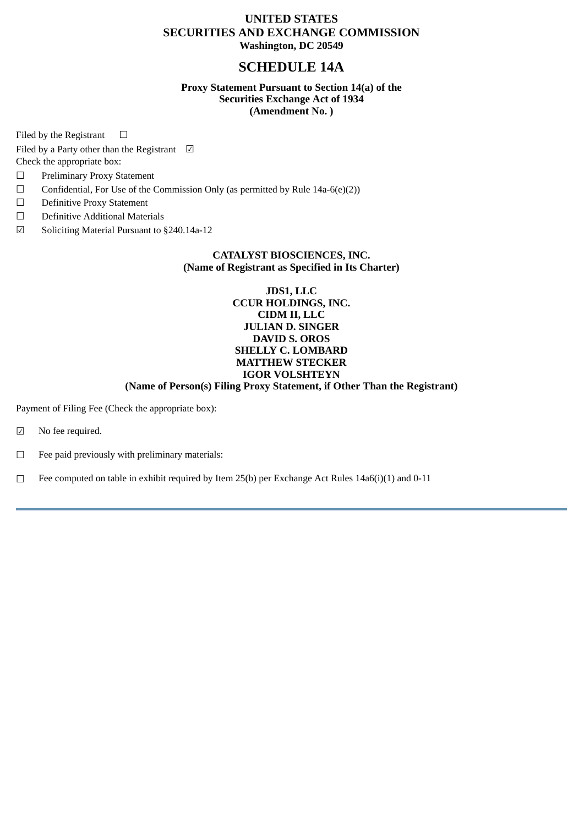## **UNITED STATES SECURITIES AND EXCHANGE COMMISSION Washington, DC 20549**

# **SCHEDULE 14A**

## **Proxy Statement Pursuant to Section 14(a) of the Securities Exchange Act of 1934 (Amendment No. )**

Filed by the Registrant  $□$ 

Filed by a Party other than the Registrant  $\Box$ 

Check the appropriate box:

- ☐ Preliminary Proxy Statement
- $\Box$  Confidential, For Use of the Commission Only (as permitted by Rule 14a-6(e)(2))
- ☐ Definitive Proxy Statement
- ☐ Definitive Additional Materials
- ☑ Soliciting Material Pursuant to §240.14a-12

## **CATALYST BIOSCIENCES, INC. (Name of Registrant as Specified in Its Charter)**

## **JDS1, LLC CCUR HOLDINGS, INC. CIDM II, LLC JULIAN D. SINGER DAVID S. OROS SHELLY C. LOMBARD MATTHEW STECKER IGOR VOLSHTEYN**

## **(Name of Person(s) Filing Proxy Statement, if Other Than the Registrant)**

Payment of Filing Fee (Check the appropriate box):

- ☑ No fee required.
- ☐ Fee paid previously with preliminary materials:
- $\Box$  Fee computed on table in exhibit required by Item 25(b) per Exchange Act Rules 14a6(i)(1) and 0-11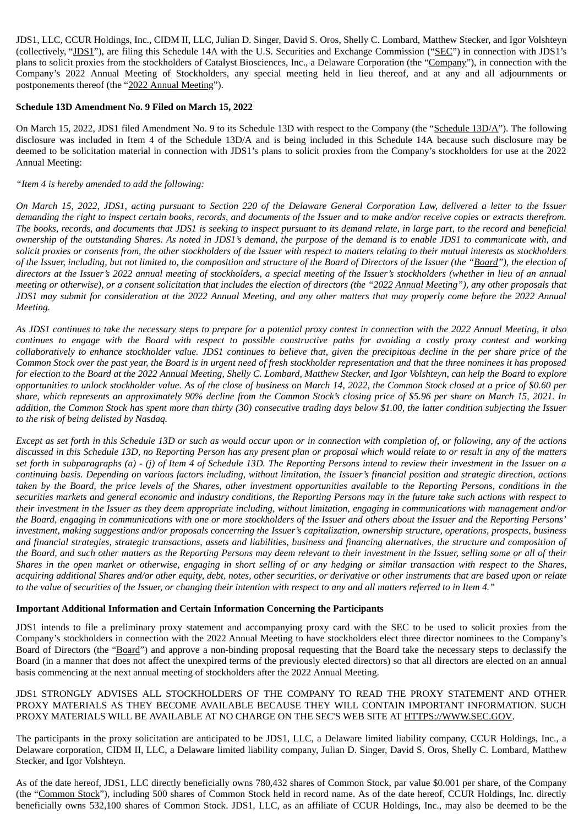JDS1, LLC, CCUR Holdings, Inc., CIDM II, LLC, Julian D. Singer, David S. Oros, Shelly C. Lombard, Matthew Stecker, and Igor Volshteyn (collectively, "JDS1"), are filing this Schedule 14A with the U.S. Securities and Exchange Commission ("SEC") in connection with JDS1's plans to solicit proxies from the stockholders of Catalyst Biosciences, Inc., a Delaware Corporation (the "Company"), in connection with the Company's 2022 Annual Meeting of Stockholders, any special meeting held in lieu thereof, and at any and all adjournments or postponements thereof (the "2022 Annual Meeting").

#### **Schedule 13D Amendment No. 9 Filed on March 15, 2022**

On March 15, 2022, JDS1 filed Amendment No. 9 to its Schedule 13D with respect to the Company (the "Schedule 13D/A"). The following disclosure was included in Item 4 of the Schedule 13D/A and is being included in this Schedule 14A because such disclosure may be deemed to be solicitation material in connection with JDS1's plans to solicit proxies from the Company's stockholders for use at the 2022 Annual Meeting:

### *"Item 4 is hereby amended to add the following:*

On March 15, 2022, JDS1, acting pursuant to Section 220 of the Delaware General Corporation Law, delivered a letter to the Issuer demanding the right to inspect certain books, records, and documents of the Issuer and to make and/or receive copies or extracts therefrom. The books, records, and documents that JDS1 is seeking to inspect pursuant to its demand relate, in large part, to the record and beneficial ownership of the outstanding Shares. As noted in JDS1's demand, the purpose of the demand is to enable JDS1 to communicate with, and solicit proxies or consents from, the other stockholders of the Issuer with respect to matters relating to their mutual interests as stockholders of the Issuer, including, but not limited to, the composition and structure of the Board of Directors of the Issuer (the "Board"), the election of directors at the Issuer's 2022 annual meeting of stockholders, a special meeting of the Issuer's stockholders (whether in lieu of an annual meeting or otherwise), or a consent solicitation that includes the election of directors (the "2022 Annual Meeting"), any other proposals that JDS1 may submit for consideration at the 2022 Annual Meeting, and any other matters that may properly come before the 2022 Annual *Meeting.*

As JDS1 continues to take the necessary steps to prepare for a potential proxy contest in connection with the 2022 Annual Meeting, it also continues to engage with the Board with respect to possible constructive paths for avoiding a costly proxy contest and working collaboratively to enhance stockholder value. JDS1 continues to believe that, given the precipitous decline in the per share price of the Common Stock over the past year, the Board is in urgent need of fresh stockholder representation and that the three nominees it has proposed for election to the Board at the 2022 Annual Meeting, Shelly C. Lombard, Matthew Stecker, and Igor Volshteyn, can help the Board to explore opportunities to unlock stockholder value. As of the close of business on March 14, 2022, the Common Stock closed at a price of \$0.60 per share, which represents an approximately 90% decline from the Common Stock's closing price of \$5.96 per share on March 15, 2021. In addition, the Common Stock has spent more than thirty (30) consecutive trading days below \$1.00, the latter condition subjecting the Issuer *to the risk of being delisted by Nasdaq.*

Except as set forth in this Schedule 13D or such as would occur upon or in connection with completion of, or following, any of the actions discussed in this Schedule 13D, no Reporting Person has any present plan or proposal which would relate to or result in any of the matters set forth in subparagraphs (a) - (j) of Item 4 of Schedule 13D. The Reporting Persons intend to review their investment in the Issuer on a continuing basis. Depending on various factors including, without limitation, the Issuer's financial position and strategic direction, actions taken by the Board, the price levels of the Shares, other investment opportunities available to the Reporting Persons, conditions in the securities markets and general economic and industry conditions, the Reporting Persons may in the future take such actions with respect to their investment in the Issuer as they deem appropriate including, without limitation, engaging in communications with management and/or the Board, engaging in communications with one or more stockholders of the Issuer and others about the Issuer and the Reporting Persons' investment, making suggestions and/or proposals concerning the Issuer's capitalization, ownership structure, operations, prospects, business and financial strategies, strategic transactions, assets and liabilities, business and financing alternatives, the structure and composition of the Board, and such other matters as the Reporting Persons may deem relevant to their investment in the Issuer, selling some or all of their Shares in the open market or otherwise, engaging in short selling of or any hedging or similar transaction with respect to the Shares, acquiring additional Shares and/or other equity, debt, notes, other securities, or derivative or other instruments that are based upon or relate to the value of securities of the Issuer, or changing their intention with respect to any and all matters referred to in Item 4."

### **Important Additional Information and Certain Information Concerning the Participants**

JDS1 intends to file a preliminary proxy statement and accompanying proxy card with the SEC to be used to solicit proxies from the Company's stockholders in connection with the 2022 Annual Meeting to have stockholders elect three director nominees to the Company's Board of Directors (the "Board") and approve a non-binding proposal requesting that the Board take the necessary steps to declassify the Board (in a manner that does not affect the unexpired terms of the previously elected directors) so that all directors are elected on an annual basis commencing at the next annual meeting of stockholders after the 2022 Annual Meeting.

### JDS1 STRONGLY ADVISES ALL STOCKHOLDERS OF THE COMPANY TO READ THE PROXY STATEMENT AND OTHER PROXY MATERIALS AS THEY BECOME AVAILABLE BECAUSE THEY WILL CONTAIN IMPORTANT INFORMATION. SUCH PROXY MATERIALS WILL BE AVAILABLE AT NO CHARGE ON THE SEC'S WEB SITE AT HTTPS://WWW.SEC.GOV.

The participants in the proxy solicitation are anticipated to be JDS1, LLC, a Delaware limited liability company, CCUR Holdings, Inc., a Delaware corporation, CIDM II, LLC, a Delaware limited liability company, Julian D. Singer, David S. Oros, Shelly C. Lombard, Matthew Stecker, and Igor Volshteyn.

As of the date hereof, JDS1, LLC directly beneficially owns 780,432 shares of Common Stock, par value \$0.001 per share, of the Company (the "Common Stock"), including 500 shares of Common Stock held in record name. As of the date hereof, CCUR Holdings, Inc. directly beneficially owns 532,100 shares of Common Stock. JDS1, LLC, as an affiliate of CCUR Holdings, Inc., may also be deemed to be the